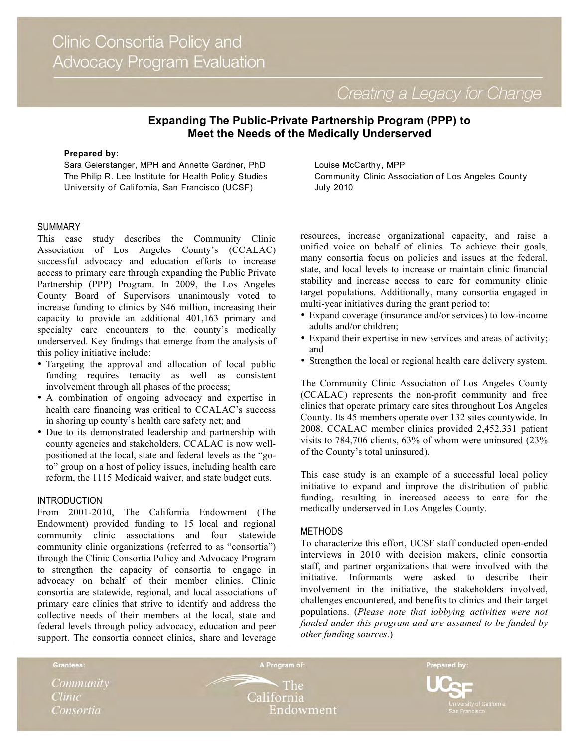Creating a Legacy for Change

# **Expanding The Public-Private Partnership Program (PPP) to Meet the Needs of the Medically Underserved**

#### **Prepared by:**

Sara Geierstanger, MPH and Annette Gardner, PhD The Philip R. Lee Institute for Health Policy Studies University of California, San Francisco (UCSF)

#### SUMMARY

This case study describes the Community Clinic Association of Los Angeles County's (CCALAC) successful advocacy and education efforts to increase access to primary care through expanding the Public Private Partnership (PPP) Program. In 2009, the Los Angeles County Board of Supervisors unanimously voted to increase funding to clinics by \$46 million, increasing their capacity to provide an additional 401,163 primary and specialty care encounters to the county's medically underserved. Key findings that emerge from the analysis of this policy initiative include:

- Targeting the approval and allocation of local public funding requires tenacity as well as consistent involvement through all phases of the process;
- A combination of ongoing advocacy and expertise in health care financing was critical to CCALAC's success in shoring up county's health care safety net; and
- Due to its demonstrated leadership and partnership with county agencies and stakeholders, CCALAC is now wellpositioned at the local, state and federal levels as the "goto" group on a host of policy issues, including health care reform, the 1115 Medicaid waiver, and state budget cuts.

#### INTRODUCTION

From 2001-2010, The California Endowment (The Endowment) provided funding to 15 local and regional community clinic associations and four statewide community clinic organizations (referred to as "consortia") through the Clinic Consortia Policy and Advocacy Program to strengthen the capacity of consortia to engage in advocacy on behalf of their member clinics. Clinic consortia are statewide, regional, and local associations of primary care clinics that strive to identify and address the collective needs of their members at the local, state and federal levels through policy advocacy, education and peer support. The consortia connect clinics, share and leverage Louise McCarthy, MPP Community Clinic Association of Los Angeles County July 2010

resources, increase organizational capacity, and raise a unified voice on behalf of clinics. To achieve their goals, many consortia focus on policies and issues at the federal, state, and local levels to increase or maintain clinic financial stability and increase access to care for community clinic target populations. Additionally, many consortia engaged in multi-year initiatives during the grant period to:

- Expand coverage (insurance and/or services) to low-income adults and/or children;
- Expand their expertise in new services and areas of activity; and
- Strengthen the local or regional health care delivery system.

The Community Clinic Association of Los Angeles County (CCALAC) represents the non-profit community and free clinics that operate primary care sites throughout Los Angeles County. Its 45 members operate over 132 sites countywide. In 2008, CCALAC member clinics provided 2,452,331 patient visits to 784,706 clients, 63% of whom were uninsured (23% of the County's total uninsured).

This case study is an example of a successful local policy initiative to expand and improve the distribution of public funding, resulting in increased access to care for the medically underserved in Los Angeles County.

### **METHODS**

To characterize this effort, UCSF staff conducted open-ended interviews in 2010 with decision makers, clinic consortia staff, and partner organizations that were involved with the initiative. Informants were asked to describe their involvement in the initiative, the stakeholders involved, challenges encountered, and benefits to clinics and their target populations. (*Please note that lobbying activities were not funded under this program and are assumed to be funded by other funding sources*.)

*Community* **Clinic** Consortia

Grantees:

 $\cdot$  The California Endowment

A Program of:

Prepared by: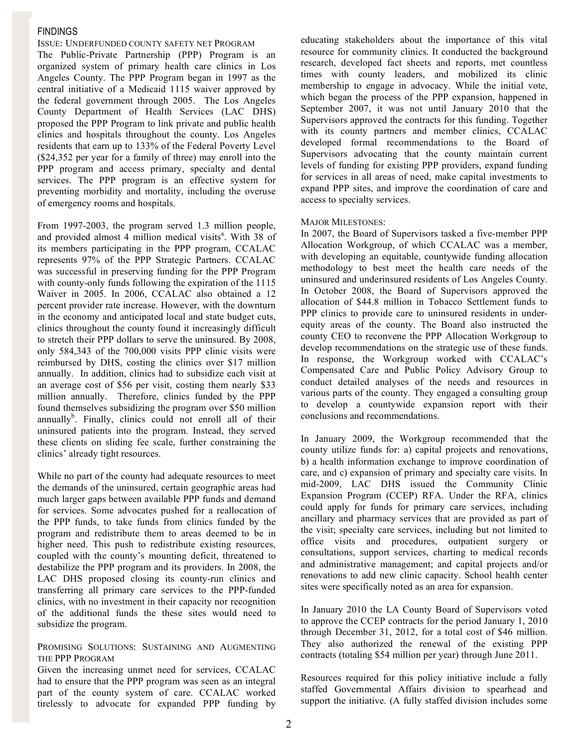## FINDINGS

ISSUE: UNDERFUNDED COUNTY SAFETY NET PROGRAM The Public-Private Partnership (PPP) Program is an organized system of primary health care clinics in Los Angeles County. The PPP Program began in 1997 as the central initiative of a Medicaid 1115 waiver approved by the federal government through 2005. The Los Angeles County Department of Health Services (LAC DHS) proposed the PPP Program to link private and public health clinics and hospitals throughout the county. Los Angeles residents that earn up to 133% of the Federal Poverty Level (\$24,352 per year for a family of three) may enroll into the PPP program and access primary, specialty and dental services. The PPP program is an effective system for preventing morbidity and mortality, including the overuse of emergency rooms and hospitals.

From 1997-2003, the program served 1.3 million people, and provided almost 4 million medical visits<sup>a</sup>. With 38 of its members participating in the PPP program, CCALAC represents 97% of the PPP Strategic Partners. CCALAC was successful in preserving funding for the PPP Program with county-only funds following the expiration of the 1115 Waiver in 2005. In 2006, CCALAC also obtained a 12 percent provider rate increase. However, with the downturn in the economy and anticipated local and state budget cuts, clinics throughout the county found it increasingly difficult to stretch their PPP dollars to serve the uninsured. By 2008, only 584,343 of the 700,000 visits PPP clinic visits were reimbursed by DHS, costing the clinics over \$17 million annually. In addition, clinics had to subsidize each visit at an average cost of \$56 per visit, costing them nearly \$33 million annually. Therefore, clinics funded by the PPP found themselves subsidizing the program over \$50 million annually<sup>b</sup>. Finally, clinics could not enroll all of their uninsured patients into the program. Instead, they served these clients on sliding fee scale, further constraining the clinics' already tight resources.

While no part of the county had adequate resources to meet the demands of the uninsured, certain geographic areas had much larger gaps between available PPP funds and demand for services. Some advocates pushed for a reallocation of the PPP funds, to take funds from clinics funded by the program and redistribute them to areas deemed to be in higher need. This push to redistribute existing resources, coupled with the county's mounting deficit, threatened to destabilize the PPP program and its providers. In 2008, the LAC DHS proposed closing its county-run clinics and transferring all primary care services to the PPP-funded clinics, with no investment in their capacity nor recognition of the additional funds the these sites would need to subsidize the program.

#### PROMISING SOLUTIONS: SUSTAINING AND AUGMENTING THE PPP PROGRAM

Given the increasing unmet need for services, CCALAC had to ensure that the PPP program was seen as an integral part of the county system of care. CCALAC worked tirelessly to advocate for expanded PPP funding by educating stakeholders about the importance of this vital resource for community clinics. It conducted the background research, developed fact sheets and reports, met countless times with county leaders, and mobilized its clinic membership to engage in advocacy. While the initial vote, which began the process of the PPP expansion, happened in September 2007, it was not until January 2010 that the Supervisors approved the contracts for this funding. Together with its county partners and member clinics, CCALAC developed formal recommendations to the Board of Supervisors advocating that the county maintain current levels of funding for existing PPP providers, expand funding for services in all areas of need, make capital investments to expand PPP sites, and improve the coordination of care and access to specialty services.

### MAJOR MILESTONES:

In 2007, the Board of Supervisors tasked a five-member PPP Allocation Workgroup, of which CCALAC was a member, with developing an equitable, countywide funding allocation methodology to best meet the health care needs of the uninsured and underinsured residents of Los Angeles County. In October 2008, the Board of Supervisors approved the allocation of \$44.8 million in Tobacco Settlement funds to PPP clinics to provide care to uninsured residents in underequity areas of the county. The Board also instructed the county CEO to reconvene the PPP Allocation Workgroup to develop recommendations on the strategic use of these funds. In response, the Workgroup worked with CCALAC's Compensated Care and Public Policy Advisory Group to conduct detailed analyses of the needs and resources in various parts of the county. They engaged a consulting group to develop a countywide expansion report with their conclusions and recommendations.

In January 2009, the Workgroup recommended that the county utilize funds for: a) capital projects and renovations, b) a health information exchange to improve coordination of care, and c) expansion of primary and specialty care visits. In mid-2009, LAC DHS issued the Community Clinic Expansion Program (CCEP) RFA. Under the RFA, clinics could apply for funds for primary care services, including ancillary and pharmacy services that are provided as part of the visit; specialty care services, including but not limited to office visits and procedures, outpatient surgery or consultations, support services, charting to medical records and administrative management; and capital projects and/or renovations to add new clinic capacity. School health center sites were specifically noted as an area for expansion.

In January 2010 the LA County Board of Supervisors voted to approve the CCEP contracts for the period January 1, 2010 through December 31, 2012, for a total cost of \$46 million. They also authorized the renewal of the existing PPP contracts (totaling \$54 million per year) through June 2011.

Resources required for this policy initiative include a fully staffed Governmental Affairs division to spearhead and support the initiative. (A fully staffed division includes some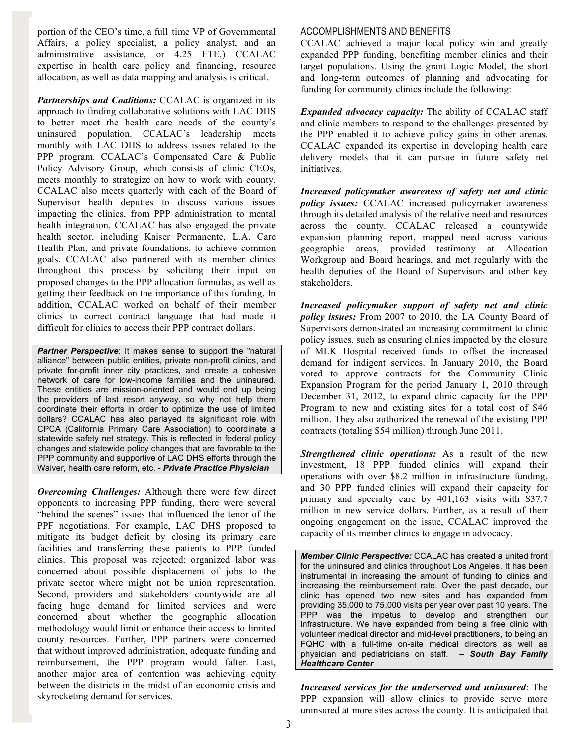portion of the CEO's time, a full time VP of Governmental Affairs, a policy specialist, a policy analyst, and an administrative assistance, or 4.25 FTE.) CCALAC expertise in health care policy and financing, resource allocation, as well as data mapping and analysis is critical.

*Partnerships and Coalitions:* CCALAC is organized in its approach to finding collaborative solutions with LAC DHS to better meet the health care needs of the county's uninsured population. CCALAC's leadership meets monthly with LAC DHS to address issues related to the PPP program. CCALAC's Compensated Care & Public Policy Advisory Group, which consists of clinic CEOs, meets monthly to strategize on how to work with county. CCALAC also meets quarterly with each of the Board of Supervisor health deputies to discuss various issues impacting the clinics, from PPP administration to mental health integration. CCALAC has also engaged the private health sector, including Kaiser Permanente, L.A. Care Health Plan, and private foundations, to achieve common goals. CCALAC also partnered with its member clinics throughout this process by soliciting their input on proposed changes to the PPP allocation formulas, as well as getting their feedback on the importance of this funding. In addition, CCALAC worked on behalf of their member clinics to correct contract language that had made it difficult for clinics to access their PPP contract dollars.

*Partner Perspective:* It makes sense to support the "natural" alliance" between public entities, private non-profit clinics, and private for-profit inner city practices, and create a cohesive network of care for low-income families and the uninsured. These entities are mission-oriented and would end up being the providers of last resort anyway, so why not help them coordinate their efforts in order to optimize the use of limited dollars? CCALAC has also parlayed its significant role with CPCA (California Primary Care Association) to coordinate a statewide safety net strategy. This is reflected in federal policy changes and statewide policy changes that are favorable to the PPP community and supportive of LAC DHS efforts through the Waiver, health care reform, etc. - *Private Practice Physician*

*Overcoming Challenges:* Although there were few direct opponents to increasing PPP funding, there were several "behind the scenes" issues that influenced the tenor of the PPF negotiations. For example, LAC DHS proposed to mitigate its budget deficit by closing its primary care facilities and transferring these patients to PPP funded clinics. This proposal was rejected; organized labor was concerned about possible displacement of jobs to the private sector where might not be union representation. Second, providers and stakeholders countywide are all facing huge demand for limited services and were concerned about whether the geographic allocation methodology would limit or enhance their access to limited county resources. Further, PPP partners were concerned that without improved administration, adequate funding and reimbursement, the PPP program would falter. Last, another major area of contention was achieving equity between the districts in the midst of an economic crisis and skyrocketing demand for services.

## ACCOMPLISHMENTS AND BENEFITS

CCALAC achieved a major local policy win and greatly expanded PPP funding, benefiting member clinics and their target populations. Using the grant Logic Model, the short and long-term outcomes of planning and advocating for funding for community clinics include the following:

*Expanded advocacy capacity:* The ability of CCALAC staff and clinic members to respond to the challenges presented by the PPP enabled it to achieve policy gains in other arenas. CCALAC expanded its expertise in developing health care delivery models that it can pursue in future safety net initiatives.

*Increased policymaker awareness of safety net and clinic policy issues:* CCALAC increased policymaker awareness through its detailed analysis of the relative need and resources across the county. CCALAC released a countywide expansion planning report, mapped need across various geographic areas, provided testimony at Allocation Workgroup and Board hearings, and met regularly with the health deputies of the Board of Supervisors and other key stakeholders.

*Increased policymaker support of safety net and clinic policy issues:* From 2007 to 2010, the LA County Board of Supervisors demonstrated an increasing commitment to clinic policy issues, such as ensuring clinics impacted by the closure of MLK Hospital received funds to offset the increased demand for indigent services. In January 2010, the Board voted to approve contracts for the Community Clinic Expansion Program for the period January 1, 2010 through December 31, 2012, to expand clinic capacity for the PPP Program to new and existing sites for a total cost of \$46 million. They also authorized the renewal of the existing PPP contracts (totaling \$54 million) through June 2011.

*Strengthened clinic operations:* As a result of the new investment, 18 PPP funded clinics will expand their operations with over \$8.2 million in infrastructure funding, and 30 PPP funded clinics will expand their capacity for primary and specialty care by 401,163 visits with \$37.7 million in new service dollars. Further, as a result of their ongoing engagement on the issue, CCALAC improved the capacity of its member clinics to engage in advocacy.

*Member Clinic Perspective:* CCALAC has created a united front for the uninsured and clinics throughout Los Angeles. It has been instrumental in increasing the amount of funding to clinics and increasing the reimbursement rate. Over the past decade, our clinic has opened two new sites and has expanded from providing 35,000 to 75,000 visits per year over past 10 years. The PPP was the impetus to develop and strengthen our infrastructure. We have expanded from being a free clinic with volunteer medical director and mid-level practitioners, to being an FQHC with a full-time on-site medical directors as well as physician and pediatricians on staff. – *South Bay Family Healthcare Center* 

*Increased services for the underserved and uninsured*: The PPP expansion will allow clinics to provide serve more uninsured at more sites across the county. It is anticipated that